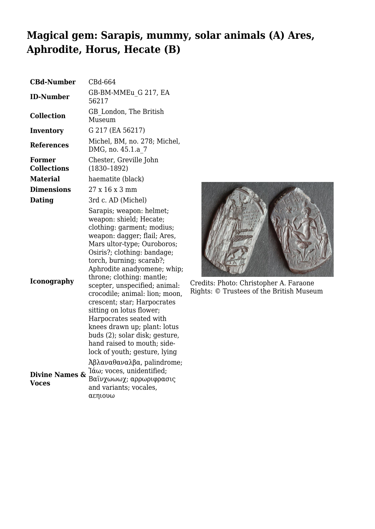## **Magical gem: Sarapis, mummy, solar animals (A) Ares, Aphrodite, Horus, Hecate (B)**

| <b>CBd-Number</b>                   | CBd-664                                                                                                                                                                                                                                                                                                                                                                                                                                                                                                                                                            |
|-------------------------------------|--------------------------------------------------------------------------------------------------------------------------------------------------------------------------------------------------------------------------------------------------------------------------------------------------------------------------------------------------------------------------------------------------------------------------------------------------------------------------------------------------------------------------------------------------------------------|
| <b>ID-Number</b>                    | GB-BM-MMEu G 217, EA<br>56217                                                                                                                                                                                                                                                                                                                                                                                                                                                                                                                                      |
| <b>Collection</b>                   | GB London, The British<br>Museum                                                                                                                                                                                                                                                                                                                                                                                                                                                                                                                                   |
| Inventory                           | G 217 (EA 56217)                                                                                                                                                                                                                                                                                                                                                                                                                                                                                                                                                   |
| <b>References</b>                   | Michel, BM, no. 278; Michel,<br>DMG, no. 45.1.a 7                                                                                                                                                                                                                                                                                                                                                                                                                                                                                                                  |
| <b>Former</b><br><b>Collections</b> | Chester, Greville John<br>$(1830 - 1892)$                                                                                                                                                                                                                                                                                                                                                                                                                                                                                                                          |
| <b>Material</b>                     | haematite (black)                                                                                                                                                                                                                                                                                                                                                                                                                                                                                                                                                  |
| <b>Dimensions</b>                   | 27 x 16 x 3 mm                                                                                                                                                                                                                                                                                                                                                                                                                                                                                                                                                     |
| <b>Dating</b>                       | 3rd c. AD (Michel)                                                                                                                                                                                                                                                                                                                                                                                                                                                                                                                                                 |
| <b>Iconography</b>                  | Sarapis; weapon: helmet;<br>weapon: shield; Hecate;<br>clothing: garment; modius;<br>weapon: dagger; flail; Ares,<br>Mars ultor-type; Ouroboros;<br>Osiris?; clothing: bandage;<br>torch, burning; scarab?;<br>Aphrodite anadyomene; whip;<br>throne; clothing: mantle;<br>scepter, unspecified; animal:<br>crocodile; animal: lion; moon,<br>crescent; star; Harpocrates<br>sitting on lotus flower;<br>Harpocrates seated with<br>knees drawn up; plant: lotus<br>buds (2); solar disk; gesture,<br>hand raised to mouth; side-<br>lock of youth; gesture, lying |
| <b>Divine Names &amp;</b><br>Voces  | $\lambda \beta \lambda \alpha \nu \alpha \theta \alpha \nu \alpha \lambda \beta \alpha$ , palindrome;<br>Ίάω; voces, unidentified;<br>Βαϊνχωωωχ; αρρωριφρασις<br>and variants; vocales,<br>αεηιουω                                                                                                                                                                                                                                                                                                                                                                 |



Credits: Photo: Christopher A. Faraone Rights: © Trustees of the British Museum